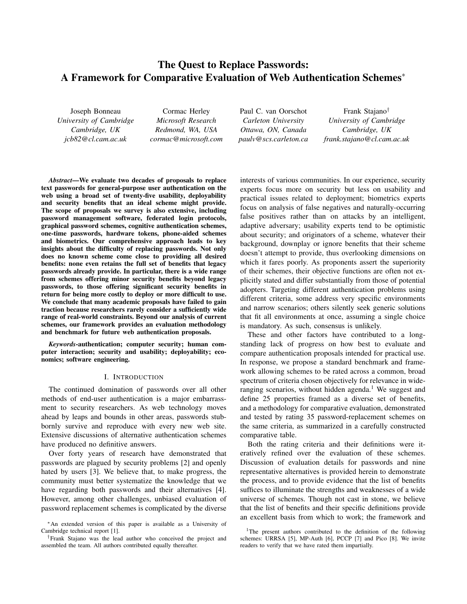# The Quest to Replace Passwords: A Framework for Comparative Evaluation of Web Authentication Schemes<sup>∗</sup>

Joseph Bonneau *University of Cambridge Cambridge, UK jcb82@cl.cam.ac.uk*

Cormac Herley *Microsoft Research Redmond, WA, USA cormac@microsoft.com*

Paul C. van Oorschot *Carleton University Ottawa, ON, Canada paulv@scs.carleton.ca*

Frank Stajano† *University of Cambridge Cambridge, UK frank.stajano@cl.cam.ac.uk*

*Abstract*—We evaluate two decades of proposals to replace text passwords for general-purpose user authentication on the web using a broad set of twenty-five usability, deployability and security benefits that an ideal scheme might provide. The scope of proposals we survey is also extensive, including password management software, federated login protocols, graphical password schemes, cognitive authentication schemes, one-time passwords, hardware tokens, phone-aided schemes and biometrics. Our comprehensive approach leads to key insights about the difficulty of replacing passwords. Not only does no known scheme come close to providing all desired benefits: none even retains the full set of benefits that legacy passwords already provide. In particular, there is a wide range from schemes offering minor security benefits beyond legacy passwords, to those offering significant security benefits in return for being more costly to deploy or more difficult to use. We conclude that many academic proposals have failed to gain traction because researchers rarely consider a sufficiently wide range of real-world constraints. Beyond our analysis of current schemes, our framework provides an evaluation methodology and benchmark for future web authentication proposals.

*Keywords*-authentication; computer security; human computer interaction; security and usability; deployability; economics; software engineering.

# I. INTRODUCTION

The continued domination of passwords over all other methods of end-user authentication is a major embarrassment to security researchers. As web technology moves ahead by leaps and bounds in other areas, passwords stubbornly survive and reproduce with every new web site. Extensive discussions of alternative authentication schemes have produced no definitive answers.

Over forty years of research have demonstrated that passwords are plagued by security problems [\[2\]](#page-13-0) and openly hated by users [\[3\]](#page-13-1). We believe that, to make progress, the community must better systematize the knowledge that we have regarding both passwords and their alternatives [\[4\]](#page-13-2). However, among other challenges, unbiased evaluation of password replacement schemes is complicated by the diverse interests of various communities. In our experience, security experts focus more on security but less on usability and practical issues related to deployment; biometrics experts focus on analysis of false negatives and naturally-occurring false positives rather than on attacks by an intelligent, adaptive adversary; usability experts tend to be optimistic about security; and originators of a scheme, whatever their background, downplay or ignore benefits that their scheme doesn't attempt to provide, thus overlooking dimensions on which it fares poorly. As proponents assert the superiority of their schemes, their objective functions are often not explicitly stated and differ substantially from those of potential adopters. Targeting different authentication problems using different criteria, some address very specific environments and narrow scenarios; others silently seek generic solutions that fit all environments at once, assuming a single choice is mandatory. As such, consensus is unlikely.

These and other factors have contributed to a longstanding lack of progress on how best to evaluate and compare authentication proposals intended for practical use. In response, we propose a standard benchmark and framework allowing schemes to be rated across a common, broad spectrum of criteria chosen objectively for relevance in wide-ranging scenarios, without hidden agenda.<sup>[1](#page-0-0)</sup> We suggest and define 25 properties framed as a diverse set of benefits, and a methodology for comparative evaluation, demonstrated and tested by rating 35 password-replacement schemes on the same criteria, as summarized in a carefully constructed comparative table.

Both the rating criteria and their definitions were iteratively refined over the evaluation of these schemes. Discussion of evaluation details for passwords and nine representative alternatives is provided herein to demonstrate the process, and to provide evidence that the list of benefits suffices to illuminate the strengths and weaknesses of a wide universe of schemes. Though not cast in stone, we believe that the list of benefits and their specific definitions provide an excellent basis from which to work; the framework and

<sup>∗</sup>An extended version of this paper is available as a University of Cambridge technical report [\[1\]](#page-13-3).

<sup>†</sup>Frank Stajano was the lead author who conceived the project and assembled the team. All authors contributed equally thereafter.

<span id="page-0-0"></span><sup>&</sup>lt;sup>1</sup>The present authors contributed to the definition of the following schemes: URRSA [\[5\]](#page-13-4), MP-Auth [\[6\]](#page-13-5), PCCP [\[7\]](#page-13-6) and Pico [\[8\]](#page-13-7). We invite readers to verify that we have rated them impartially.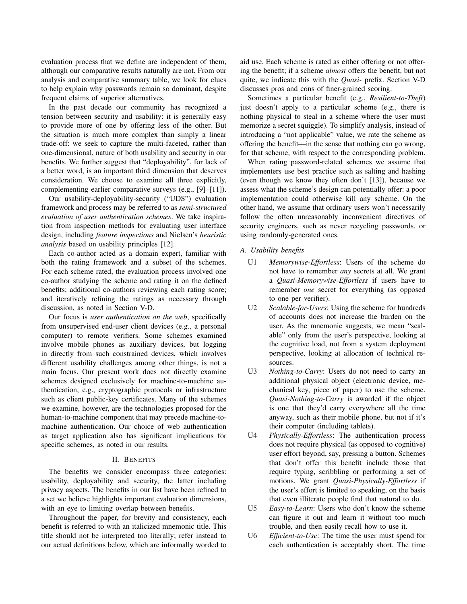evaluation process that we define are independent of them, although our comparative results naturally are not. From our analysis and comparative summary table, we look for clues to help explain why passwords remain so dominant, despite frequent claims of superior alternatives.

In the past decade our community has recognized a tension between security and usability: it is generally easy to provide more of one by offering less of the other. But the situation is much more complex than simply a linear trade-off: we seek to capture the multi-faceted, rather than one-dimensional, nature of both usability and security in our benefits. We further suggest that "deployability", for lack of a better word, is an important third dimension that deserves consideration. We choose to examine all three explicitly, complementing earlier comparative surveys (e.g., [\[9\]](#page-13-8)–[\[11\]](#page-13-9)).

Our usability-deployability-security ("UDS") evaluation framework and process may be referred to as *semi-structured evaluation of user authentication schemes*. We take inspiration from inspection methods for evaluating user interface design, including *feature inspections* and Nielsen's *heuristic analysis* based on usability principles [\[12\]](#page-13-10).

Each co-author acted as a domain expert, familiar with both the rating framework and a subset of the schemes. For each scheme rated, the evaluation process involved one co-author studying the scheme and rating it on the defined benefits; additional co-authors reviewing each rating score; and iteratively refining the ratings as necessary through discussion, as noted in Section [V-D.](#page-12-0)

Our focus is *user authentication on the web*, specifically from unsupervised end-user client devices (e.g., a personal computer) to remote verifiers. Some schemes examined involve mobile phones as auxiliary devices, but logging in directly from such constrained devices, which involves different usability challenges among other things, is not a main focus. Our present work does not directly examine schemes designed exclusively for machine-to-machine authentication, e.g., cryptographic protocols or infrastructure such as client public-key certificates. Many of the schemes we examine, however, are the technologies proposed for the human-to-machine component that may precede machine-tomachine authentication. Our choice of web authentication as target application also has significant implications for specific schemes, as noted in our results.

#### II. BENEFITS

<span id="page-1-6"></span>The benefits we consider encompass three categories: usability, deployability and security, the latter including privacy aspects. The benefits in our list have been refined to a set we believe highlights important evaluation dimensions, with an eye to limiting overlap between benefits.

Throughout the paper, for brevity and consistency, each benefit is referred to with an italicized mnemonic title. This title should not be interpreted too literally; refer instead to our actual definitions below, which are informally worded to aid use. Each scheme is rated as either offering or not offering the benefit; if a scheme *almost* offers the benefit, but not quite, we indicate this with the *Quasi-* prefix. Section [V-D](#page-12-0) discusses pros and cons of finer-grained scoring.

Sometimes a particular benefit (e.g., *[Resilient-to-Theft](#page-3-0)*) just doesn't apply to a particular scheme (e.g., there is nothing physical to steal in a scheme where the user must memorize a secret squiggle). To simplify analysis, instead of introducing a "not applicable" value, we rate the scheme as offering the benefit—in the sense that nothing can go wrong, for that scheme, with respect to the corresponding problem.

When rating password-related schemes we assume that implementers use best practice such as salting and hashing (even though we know they often don't [\[13\]](#page-13-11)), because we assess what the scheme's design can potentially offer: a poor implementation could otherwise kill any scheme. On the other hand, we assume that ordinary users won't necessarily follow the often unreasonably inconvenient directives of security engineers, such as never recycling passwords, or using randomly-generated ones.

## *A. Usability benefits*

- <span id="page-1-0"></span>[U1](#page-1-0) *[Memorywise-Effortless](#page-1-0)*: Users of the scheme do not have to remember *any* secrets at all. We grant a *[Quasi-Memorywise-Effortless](#page-1-0)* if users have to remember *one* secret for everything (as opposed to one per verifier).
- <span id="page-1-1"></span>[U2](#page-1-1) *[Scalable-for-Users](#page-1-1)*: Using the scheme for hundreds of accounts does not increase the burden on the user. As the mnemonic suggests, we mean "scalable" only from the user's perspective, looking at the cognitive load, not from a system deployment perspective, looking at allocation of technical resources.
- <span id="page-1-2"></span>[U3](#page-1-2) *[Nothing-to-Carry](#page-1-2)*: Users do not need to carry an additional physical object (electronic device, mechanical key, piece of paper) to use the scheme. *[Quasi-Nothing-to-Carry](#page-1-2)* is awarded if the object is one that they'd carry everywhere all the time anyway, such as their mobile phone, but not if it's their computer (including tablets).
- <span id="page-1-3"></span>[U4](#page-1-3) *[Physically-Effortless](#page-1-3)*: The authentication process does not require physical (as opposed to cognitive) user effort beyond, say, pressing a button. Schemes that don't offer this benefit include those that require typing, scribbling or performing a set of motions. We grant *[Quasi-Physically-Effortless](#page-1-3)* if the user's effort is limited to speaking, on the basis that even illiterate people find that natural to do.
- <span id="page-1-4"></span>[U5](#page-1-4) *[Easy-to-Learn](#page-1-4)*: Users who don't know the scheme can figure it out and learn it without too much trouble, and then easily recall how to use it.
- <span id="page-1-5"></span>[U6](#page-1-5) *[Efficient-to-Use](#page-1-5)*: The time the user must spend for each authentication is acceptably short. The time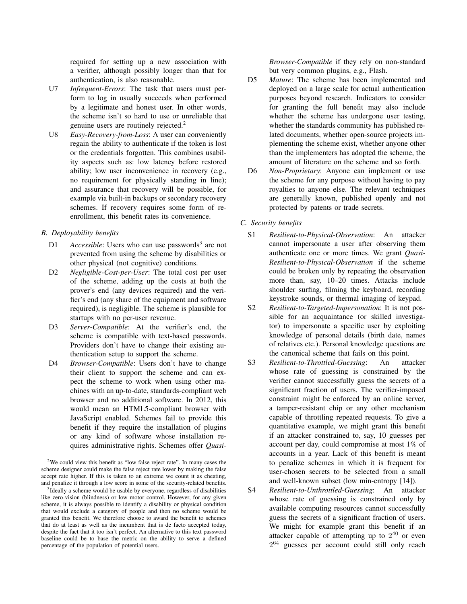required for setting up a new association with a verifier, although possibly longer than that for authentication, is also reasonable.

- <span id="page-2-0"></span>[U7](#page-2-0) *[Infrequent-Errors](#page-2-0)*: The task that users must perform to log in usually succeeds when performed by a legitimate and honest user. In other words, the scheme isn't so hard to use or unreliable that genuine users are routinely rejected.[2](#page-2-1)
- <span id="page-2-2"></span>[U8](#page-2-2) *[Easy-Recovery-from-Loss](#page-2-2)*: A user can conveniently regain the ability to authenticate if the token is lost or the credentials forgotten. This combines usability aspects such as: low latency before restored ability; low user inconvenience in recovery (e.g., no requirement for physically standing in line); and assurance that recovery will be possible, for example via built-in backups or secondary recovery schemes. If recovery requires some form of reenrollment, this benefit rates its convenience.

# *B. Deployability benefits*

- <span id="page-2-3"></span>[D1](#page-2-3) [Accessible](#page-2-3): Users who can use passwords<sup>[3](#page-2-4)</sup> are not prevented from using the scheme by disabilities or other physical (not cognitive) conditions.
- <span id="page-2-5"></span>[D2](#page-2-5) *[Negligible-Cost-per-User](#page-2-5)*: The total cost per user of the scheme, adding up the costs at both the prover's end (any devices required) and the verifier's end (any share of the equipment and software required), is negligible. The scheme is plausible for startups with no per-user revenue.
- <span id="page-2-6"></span>[D3](#page-2-6) *[Server-Compatible](#page-2-6)*: At the verifier's end, the scheme is compatible with text-based passwords. Providers don't have to change their existing authentication setup to support the scheme.
- <span id="page-2-7"></span>[D4](#page-2-7) *[Browser-Compatible](#page-2-7)*: Users don't have to change their client to support the scheme and can expect the scheme to work when using other machines with an up-to-date, standards-compliant web browser and no additional software. In 2012, this would mean an HTML5-compliant browser with JavaScript enabled. Schemes fail to provide this benefit if they require the installation of plugins or any kind of software whose installation requires administrative rights. Schemes offer *[Quasi-](#page-2-7)*

<span id="page-2-1"></span><sup>2</sup>[We could view this benefit as "low false reject rate". In many cases the](#page-2-7) [scheme designer could make the false reject rate lower by making the false](#page-2-7) [accept rate higher. If this is taken to an extreme we count it as cheating,](#page-2-7) [and penalize it through a low score in some of the security-related benefits.](#page-2-7)

<span id="page-2-4"></span><sup>3</sup>[Ideally a scheme would be usable by everyone, regardless of disabilities](#page-2-7) [like zero-vision \(blindness\) or low motor control. However, for any given](#page-2-7) [scheme, it is always possible to identify a disability or physical condition](#page-2-7) [that would exclude a category of people and then no scheme would be](#page-2-7) [granted this benefit. We therefore choose to award the benefit to schemes](#page-2-7) [that do at least as well as the incumbent that is de facto accepted today,](#page-2-7) [despite the fact that it too isn't perfect. An alternative to this text password](#page-2-7) [baseline could be to base the metric on the ability to serve a defined](#page-2-7) [percentage of the population of potential users.](#page-2-7)

*[Browser-Compatible](#page-2-7)* if they rely on non-standard but very common plugins, e.g., Flash.

- <span id="page-2-8"></span>[D5](#page-2-8) *[Mature](#page-2-8)*: The scheme has been implemented and deployed on a large scale for actual authentication purposes beyond research. Indicators to consider for granting the full benefit may also include whether the scheme has undergone user testing, whether the standards community has published related documents, whether open-source projects implementing the scheme exist, whether anyone other than the implementers has adopted the scheme, the amount of literature on the scheme and so forth.
- <span id="page-2-9"></span>[D6](#page-2-9) *[Non-Proprietary](#page-2-9)*: Anyone can implement or use the scheme for any purpose without having to pay royalties to anyone else. The relevant techniques are generally known, published openly and not protected by patents or trade secrets.

# *C. Security benefits*

- <span id="page-2-10"></span>[S1](#page-2-10) *[Resilient-to-Physical-Observation](#page-2-10)*: An attacker cannot impersonate a user after observing them authenticate one or more times. We grant *[Quasi-](#page-2-10)[Resilient-to-Physical-Observation](#page-2-10)* if the scheme could be broken only by repeating the observation more than, say, 10–20 times. Attacks include shoulder surfing, filming the keyboard, recording keystroke sounds, or thermal imaging of keypad.
- <span id="page-2-11"></span>[S2](#page-2-11) *[Resilient-to-Targeted-Impersonation](#page-2-11)*: It is not possible for an acquaintance (or skilled investigator) to impersonate a specific user by exploiting knowledge of personal details (birth date, names of relatives etc.). Personal knowledge questions are the canonical scheme that fails on this point.
- <span id="page-2-12"></span>[S3](#page-2-12) *[Resilient-to-Throttled-Guessing](#page-2-12)*: An attacker whose rate of guessing is constrained by the verifier cannot successfully guess the secrets of a significant fraction of users. The verifier-imposed constraint might be enforced by an online server, a tamper-resistant chip or any other mechanism capable of throttling repeated requests. To give a quantitative example, we might grant this benefit if an attacker constrained to, say, 10 guesses per account per day, could compromise at most 1% of accounts in a year. Lack of this benefit is meant to penalize schemes in which it is frequent for user-chosen secrets to be selected from a small and well-known subset (low min-entropy [\[14\]](#page-13-12)).
- <span id="page-2-13"></span>[S4](#page-2-13) *[Resilient-to-Unthrottled-Guessing](#page-2-13)*: An attacker whose rate of guessing is constrained only by available computing resources cannot successfully guess the secrets of a significant fraction of users. We might for example grant this benefit if an attacker capable of attempting up to  $2^{40}$  or even  $2^{64}$  guesses per account could still only reach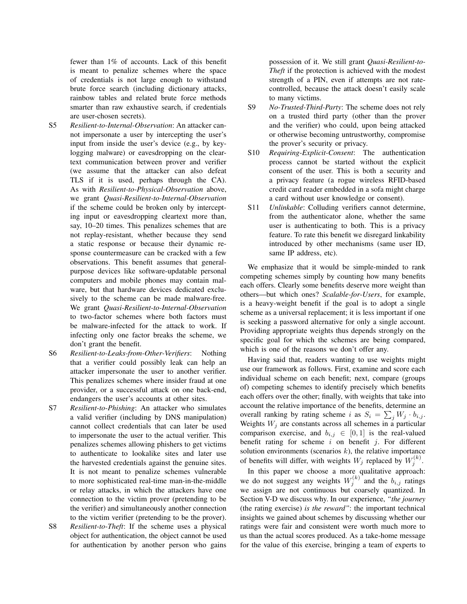fewer than 1% of accounts. Lack of this benefit is meant to penalize schemes where the space of credentials is not large enough to withstand brute force search (including dictionary attacks, rainbow tables and related brute force methods smarter than raw exhaustive search, if credentials are user-chosen secrets).

- <span id="page-3-1"></span>[S5](#page-3-1) *[Resilient-to-Internal-Observation](#page-3-1)*: An attacker cannot impersonate a user by intercepting the user's input from inside the user's device (e.g., by keylogging malware) or eavesdropping on the cleartext communication between prover and verifier (we assume that the attacker can also defeat TLS if it is used, perhaps through the CA). As with *[Resilient-to-Physical-Observation](#page-2-10)* above, we grant *[Quasi-Resilient-to-Internal-Observation](#page-3-1)* if the scheme could be broken only by intercepting input or eavesdropping cleartext more than, say, 10–20 times. This penalizes schemes that are not replay-resistant, whether because they send a static response or because their dynamic response countermeasure can be cracked with a few observations. This benefit assumes that generalpurpose devices like software-updatable personal computers and mobile phones may contain malware, but that hardware devices dedicated exclusively to the scheme can be made malware-free. We grant *[Quasi-Resilient-to-Internal-Observation](#page-3-1)* to two-factor schemes where both factors must be malware-infected for the attack to work. If infecting only one factor breaks the scheme, we don't grant the benefit.
- <span id="page-3-2"></span>[S6](#page-3-2) *[Resilient-to-Leaks-from-Other-Verifiers](#page-3-2)*: Nothing that a verifier could possibly leak can help an attacker impersonate the user to another verifier. This penalizes schemes where insider fraud at one provider, or a successful attack on one back-end, endangers the user's accounts at other sites.
- <span id="page-3-3"></span>[S7](#page-3-3) *[Resilient-to-Phishing](#page-3-3)*: An attacker who simulates a valid verifier (including by DNS manipulation) cannot collect credentials that can later be used to impersonate the user to the actual verifier. This penalizes schemes allowing phishers to get victims to authenticate to lookalike sites and later use the harvested credentials against the genuine sites. It is not meant to penalize schemes vulnerable to more sophisticated real-time man-in-the-middle or relay attacks, in which the attackers have one connection to the victim prover (pretending to be the verifier) and simultaneously another connection to the victim verifier (pretending to be the prover).
- <span id="page-3-0"></span>[S8](#page-3-0) *[Resilient-to-Theft](#page-3-0)*: If the scheme uses a physical object for authentication, the object cannot be used for authentication by another person who gains

possession of it. We still grant *[Quasi-Resilient-to-](#page-3-0)[Theft](#page-3-0)* if the protection is achieved with the modest strength of a PIN, even if attempts are not ratecontrolled, because the attack doesn't easily scale to many victims.

- <span id="page-3-4"></span>[S9](#page-3-4) *[No-Trusted-Third-Party](#page-3-4)*: The scheme does not rely on a trusted third party (other than the prover and the verifier) who could, upon being attacked or otherwise becoming untrustworthy, compromise the prover's security or privacy.
- <span id="page-3-5"></span>[S10](#page-3-5) *[Requiring-Explicit-Consent](#page-3-5)*: The authentication process cannot be started without the explicit consent of the user. This is both a security and a privacy feature (a rogue wireless RFID-based credit card reader embedded in a sofa might charge a card without user knowledge or consent).
- <span id="page-3-6"></span>[S11](#page-3-6) *[Unlinkable](#page-3-6)*: Colluding verifiers cannot determine, from the authenticator alone, whether the same user is authenticating to both. This is a privacy feature. To rate this benefit we disregard linkability introduced by other mechanisms (same user ID, same IP address, etc).

We emphasize that it would be simple-minded to rank competing schemes simply by counting how many benefits each offers. Clearly some benefits deserve more weight than others—but which ones? *[Scalable-for-Users](#page-1-1)*, for example, is a heavy-weight benefit if the goal is to adopt a single scheme as a universal replacement; it is less important if one is seeking a password alternative for only a single account. Providing appropriate weights thus depends strongly on the specific goal for which the schemes are being compared, which is one of the reasons we don't offer any.

Having said that, readers wanting to use weights might use our framework as follows. First, examine and score each individual scheme on each benefit; next, compare (groups of) competing schemes to identify precisely which benefits each offers over the other; finally, with weights that take into account the relative importance of the benefits, determine an overall ranking by rating scheme i as  $S_i = \sum_j W_j \cdot b_{i,j}$ . Weights  $W_j$  are constants across all schemes in a particular comparison exercise, and  $b_{i,j} \in [0,1]$  is the real-valued benefit rating for scheme  $i$  on benefit  $j$ . For different solution environments (scenarios  $k$ ), the relative importance of benefits will differ, with weights  $W_j$  replaced by  $W_j^{(k)}$ .

In this paper we choose a more qualitative approach: we do not suggest any weights  $W_j^{(k)}$  and the  $b_{i,j}$  ratings we assign are not continuous but coarsely quantized. In Section [V-D](#page-12-0) we discuss why. In our experience, *"the journey* (the rating exercise) *is the reward"*: the important technical insights we gained about schemes by discussing whether our ratings were fair and consistent were worth much more to us than the actual scores produced. As a take-home message for the value of this exercise, bringing a team of experts to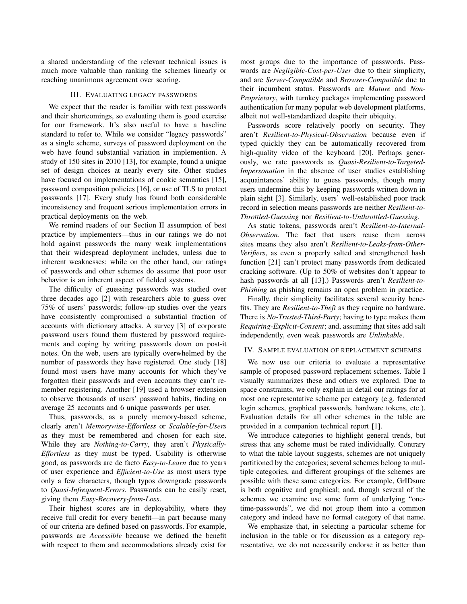a shared understanding of the relevant technical issues is much more valuable than ranking the schemes linearly or reaching unanimous agreement over scoring.

## III. EVALUATING LEGACY PASSWORDS

<span id="page-4-0"></span>We expect that the reader is familiar with text passwords and their shortcomings, so evaluating them is good exercise for our framework. It's also useful to have a baseline standard to refer to. While we consider "legacy passwords" as a single scheme, surveys of password deployment on the web have found substantial variation in implemention. A study of 150 sites in 2010 [\[13\]](#page-13-11), for example, found a unique set of design choices at nearly every site. Other studies have focused on implementations of cookie semantics [\[15\]](#page-13-13), password composition policies [\[16\]](#page-13-14), or use of TLS to protect passwords [\[17\]](#page-13-15). Every study has found both considerable inconsistency and frequent serious implementation errors in practical deployments on the web.

We remind readers of our Section [II](#page-1-6) assumption of best practice by implementers—thus in our ratings we do not hold against passwords the many weak implementations that their widespread deployment includes, unless due to inherent weaknesses; while on the other hand, our ratings of passwords and other schemes do assume that poor user behavior is an inherent aspect of fielded systems.

The difficulty of guessing passwords was studied over three decades ago [\[2\]](#page-13-0) with researchers able to guess over 75% of users' passwords; follow-up studies over the years have consistently compromised a substantial fraction of accounts with dictionary attacks. A survey [\[3\]](#page-13-1) of corporate password users found them flustered by password requirements and coping by writing passwords down on post-it notes. On the web, users are typically overwhelmed by the number of passwords they have registered. One study [\[18\]](#page-13-16) found most users have many accounts for which they've forgotten their passwords and even accounts they can't remember registering. Another [\[19\]](#page-13-17) used a browser extension to observe thousands of users' password habits, finding on average 25 accounts and 6 unique passwords per user.

Thus, passwords, as a purely memory-based scheme, clearly aren't *[Memorywise-Effortless](#page-1-0)* or *[Scalable-for-Users](#page-1-1)* as they must be remembered and chosen for each site. While they are *[Nothing-to-Carry](#page-1-2)*, they aren't *[Physically-](#page-1-3)[Effortless](#page-1-3)* as they must be typed. Usability is otherwise good, as passwords are de facto *[Easy-to-Learn](#page-1-4)* due to years of user experience and *[Efficient-to-Use](#page-1-5)* as most users type only a few characters, though typos downgrade passwords to *[Quasi-Infrequent-Errors](#page-2-0)*. Passwords can be easily reset, giving them *[Easy-Recovery-from-Loss](#page-2-2)*.

Their highest scores are in deployability, where they receive full credit for every benefit—in part because many of our criteria are defined based on passwords. For example, passwords are *[Accessible](#page-2-3)* because we defined the benefit with respect to them and accommodations already exist for most groups due to the importance of passwords. Passwords are *[Negligible-Cost-per-User](#page-2-5)* due to their simplicity, and are *[Server-Compatible](#page-2-6)* and *[Browser-Compatible](#page-2-7)* due to their incumbent status. Passwords are *[Mature](#page-2-8)* and *[Non-](#page-2-9)[Proprietary](#page-2-9)*, with turnkey packages implementing password authentication for many popular web development platforms, albeit not well-standardized despite their ubiquity.

Passwords score relatively poorly on security. They aren't *[Resilient-to-Physical-Observation](#page-2-10)* because even if typed quickly they can be automatically recovered from high-quality video of the keyboard [\[20\]](#page-13-18). Perhaps generously, we rate passwords as *[Quasi-Resilient-to-Targeted-](#page-2-11)[Impersonation](#page-2-11)* in the absence of user studies establishing acquaintances' ability to guess passwords, though many users undermine this by keeping passwords written down in plain sight [\[3\]](#page-13-1). Similarly, users' well-established poor track record in selection means passwords are neither *[Resilient-to-](#page-2-12)[Throttled-Guessing](#page-2-12)* nor *[Resilient-to-Unthrottled-Guessing](#page-2-13)*.

As static tokens, passwords aren't *[Resilient-to-Internal-](#page-3-1)[Observation](#page-3-1)*. The fact that users reuse them across sites means they also aren't *[Resilient-to-Leaks-from-Other-](#page-3-2)[Verifiers](#page-3-2)*, as even a properly salted and strengthened hash function [\[21\]](#page-14-0) can't protect many passwords from dedicated cracking software. (Up to 50% of websites don't appear to hash passwords at all [\[13\]](#page-13-11).) Passwords aren't *[Resilient-to-](#page-3-3)[Phishing](#page-3-3)* as phishing remains an open problem in practice.

Finally, their simplicity facilitates several security benefits. They are *[Resilient-to-Theft](#page-3-0)* as they require no hardware. There is *[No-Trusted-Third-Party](#page-3-4)*; having to type makes them *[Requiring-Explicit-Consent](#page-3-5)*; and, assuming that sites add salt independently, even weak passwords are *[Unlinkable](#page-3-6)*.

#### IV. SAMPLE EVALUATION OF REPLACEMENT SCHEMES

We now use our criteria to evaluate a representative sample of proposed password replacement schemes. Table [I](#page-10-0) visually summarizes these and others we explored. Due to space constraints, we only explain in detail our ratings for at most one representative scheme per category (e.g. federated login schemes, graphical passwords, hardware tokens, etc.). Evaluation details for all other schemes in the table are provided in a companion technical report [\[1\]](#page-13-3).

We introduce categories to highlight general trends, but stress that any scheme must be rated individually. Contrary to what the table layout suggests, schemes are not uniquely partitioned by the categories; several schemes belong to multiple categories, and different groupings of the schemes are possible with these same categories. For example, GrIDsure is both cognitive and graphical; and, though several of the schemes we examine use some form of underlying "onetime-passwords", we did not group them into a common category and indeed have no formal category of that name.

We emphasize that, in selecting a particular scheme for inclusion in the table or for discussion as a category representative, we do not necessarily endorse it as better than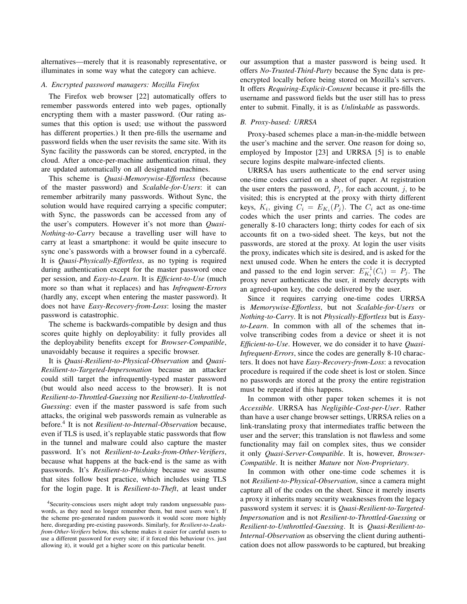alternatives—merely that it is reasonably representative, or illuminates in some way what the category can achieve.

# <span id="page-5-1"></span>*A. Encrypted password managers: Mozilla Firefox*

The Firefox web browser [\[22\]](#page-14-1) automatically offers to remember passwords entered into web pages, optionally encrypting them with a master password. (Our rating assumes that this option is used; use without the password has different properties.) It then pre-fills the username and password fields when the user revisits the same site. With its Sync facility the passwords can be stored, encrypted, in the cloud. After a once-per-machine authentication ritual, they are updated automatically on all designated machines.

This scheme is *[Quasi-Memorywise-Effortless](#page-1-0)* (because of the master password) and *[Scalable-for-Users](#page-1-1)*: it can remember arbitrarily many passwords. Without Sync, the solution would have required carrying a specific computer; with Sync, the passwords can be accessed from any of the user's computers. However it's not more than *[Quasi-](#page-1-2)[Nothing-to-Carry](#page-1-2)* because a travelling user will have to carry at least a smartphone: it would be quite insecure to sync one's passwords with a browser found in a cybercafé. It is *[Quasi-Physically-Effortless](#page-1-3)*, as no typing is required during authentication except for the master password once per session, and *[Easy-to-Learn](#page-1-4)*. It is *[Efficient-to-Use](#page-1-5)* (much more so than what it replaces) and has *[Infrequent-Errors](#page-2-0)* (hardly any, except when entering the master password). It does not have *[Easy-Recovery-from-Loss](#page-2-2)*: losing the master password is catastrophic.

The scheme is backwards-compatible by design and thus scores quite highly on deployability: it fully provides all the deployability benefits except for *[Browser-Compatible](#page-2-7)*, unavoidably because it requires a specific browser.

It is *[Quasi-Resilient-to-Physical-Observation](#page-2-10)* and *[Quasi-](#page-2-11)[Resilient-to-Targeted-Impersonation](#page-2-11)* because an attacker could still target the infrequently-typed master password (but would also need access to the browser). It is not *[Resilient-to-Throttled-Guessing](#page-2-12)* nor *[Resilient-to-Unthrottled-](#page-2-13)[Guessing](#page-2-13)*: even if the master password is safe from such attacks, the original web passwords remain as vulnerable as before.[4](#page-5-0) It is not *[Resilient-to-Internal-Observation](#page-3-1)* because, even if TLS is used, it's replayable static passwords that flow in the tunnel and malware could also capture the master password. It's not *[Resilient-to-Leaks-from-Other-Verifiers](#page-3-2)*, because what happens at the back-end is the same as with passwords. It's *[Resilient-to-Phishing](#page-3-3)* because we assume that sites follow best practice, which includes using TLS for the login page. It is *[Resilient-to-Theft](#page-3-0)*, at least under our assumption that a master password is being used. It offers *[No-Trusted-Third-Party](#page-3-4)* because the Sync data is preencrypted locally before being stored on Mozilla's servers. It offers *[Requiring-Explicit-Consent](#page-3-5)* because it pre-fills the username and password fields but the user still has to press enter to submit. Finally, it is as *[Unlinkable](#page-3-6)* as passwords.

#### <span id="page-5-2"></span>*B. Proxy-based: URRSA*

Proxy-based schemes place a man-in-the-middle between the user's machine and the server. One reason for doing so, employed by Impostor [\[23\]](#page-14-2) and URRSA [\[5\]](#page-13-4) is to enable secure logins despite malware-infected clients.

URRSA has users authenticate to the end server using one-time codes carried on a sheet of paper. At registration the user enters the password,  $P_j$ , for each account, j, to be visited; this is encrypted at the proxy with thirty different keys,  $K_i$ , giving  $C_i = E_{K_i}(P_j)$ . The  $C_i$  act as one-time codes which the user prints and carries. The codes are generally 8-10 characters long; thirty codes for each of six accounts fit on a two-sided sheet. The keys, but not the passwords, are stored at the proxy. At login the user visits the proxy, indicates which site is desired, and is asked for the next unused code. When he enters the code it is decrypted and passed to the end login server:  $E_{K_i}^{-1}(C_i) = P_j$ . The proxy never authenticates the user, it merely decrypts with an agreed-upon key, the code delivered by the user.

Since it requires carrying one-time codes URRSA is *[Memorywise-Effortless](#page-1-0)*, but not *[Scalable-for-Users](#page-1-1)* or *[Nothing-to-Carry](#page-1-2)*. It is not *[Physically-Effortless](#page-1-3)* but is *[Easy](#page-1-4)[to-Learn](#page-1-4)*. In common with all of the schemes that involve transcribing codes from a device or sheet it is not *[Efficient-to-Use](#page-1-5)*. However, we do consider it to have *[Quasi-](#page-2-0)[Infrequent-Errors](#page-2-0)*, since the codes are generally 8-10 characters. It does not have *[Easy-Recovery-from-Loss](#page-2-2)*: a revocation procedure is required if the code sheet is lost or stolen. Since no passwords are stored at the proxy the entire registration must be repeated if this happens.

In common with other paper token schemes it is not *[Accessible](#page-2-3)*. URRSA has *[Negligible-Cost-per-User](#page-2-5)*. Rather than have a user change browser settings, URRSA relies on a link-translating proxy that intermediates traffic between the user and the server; this translation is not flawless and some functionality may fail on complex sites, thus we consider it only *[Quasi-Server-Compatible](#page-2-6)*. It is, however, *[Browser-](#page-2-7)[Compatible](#page-2-7)*. It is neither *[Mature](#page-2-8)* nor *[Non-Proprietary](#page-2-9)*.

In common with other one-time code schemes it is not *[Resilient-to-Physical-Observation](#page-2-10)*, since a camera might capture all of the codes on the sheet. Since it merely inserts a proxy it inherits many security weaknesses from the legacy password system it serves: it is *[Quasi-Resilient-to-Targeted-](#page-2-11)[Impersonation](#page-2-11)* and is not *[Resilient-to-Throttled-Guessing](#page-2-12)* or *[Resilient-to-Unthrottled-Guessing](#page-2-13)*. It is *[Quasi-Resilient-to-](#page-3-1)[Internal-Observation](#page-3-1)* as observing the client during authentication does not allow passwords to be captured, but breaking

<span id="page-5-0"></span><sup>4</sup>Security-conscious users might adopt truly random unguessable passwords, as they need no longer remember them, but most users won't. If the scheme pre-generated random passwords it would score more highly here, disregarding pre-existing passwords. Similarly, for *[Resilient-to-Leaks](#page-3-2)[from-Other-Verifiers](#page-3-2)* below, this scheme makes it easier for careful users to use a different password for every site; if it forced this behaviour (vs. just allowing it), it would get a higher score on this particular benefit.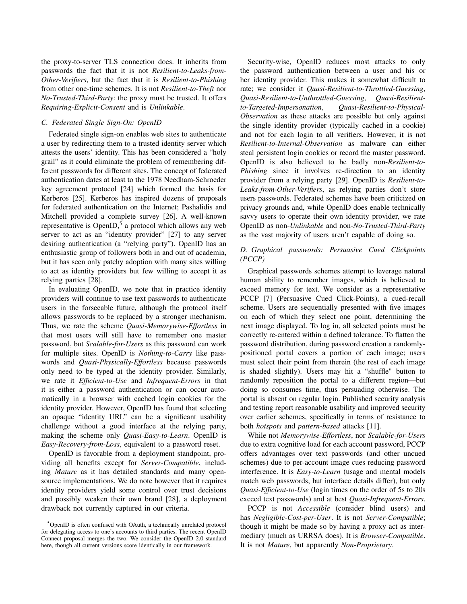the proxy-to-server TLS connection does. It inherits from passwords the fact that it is not *[Resilient-to-Leaks-from-](#page-3-2)[Other-Verifiers](#page-3-2)*, but the fact that it is *[Resilient-to-Phishing](#page-3-3)* from other one-time schemes. It is not *[Resilient-to-Theft](#page-3-0)* nor *[No-Trusted-Third-Party](#page-3-4)*: the proxy must be trusted. It offers *[Requiring-Explicit-Consent](#page-3-5)* and is *[Unlinkable](#page-3-6)*.

# <span id="page-6-1"></span>*C. Federated Single Sign-On: OpenID*

Federated single sign-on enables web sites to authenticate a user by redirecting them to a trusted identity server which attests the users' identity. This has been considered a "holy grail" as it could eliminate the problem of remembering different passwords for different sites. The concept of federated authentication dates at least to the 1978 Needham-Schroeder key agreement protocol [\[24\]](#page-14-3) which formed the basis for Kerberos [\[25\]](#page-14-4). Kerberos has inspired dozens of proposals for federated authentication on the Internet; Pashalidis and Mitchell provided a complete survey [\[26\]](#page-14-5). A well-known representative is OpenID,<sup>[5](#page-6-0)</sup> a protocol which allows any web server to act as an "identity provider" [\[27\]](#page-14-6) to any server desiring authentication (a "relying party"). OpenID has an enthusiastic group of followers both in and out of academia, but it has seen only patchy adoption with many sites willing to act as identity providers but few willing to accept it as relying parties [\[28\]](#page-14-7).

In evaluating OpenID, we note that in practice identity providers will continue to use text passwords to authenticate users in the forseeable future, although the protocol itself allows passwords to be replaced by a stronger mechanism. Thus, we rate the scheme *[Quasi-Memorywise-Effortless](#page-1-0)* in that most users will still have to remember one master password, but *[Scalable-for-Users](#page-1-1)* as this password can work for multiple sites. OpenID is *[Nothing-to-Carry](#page-1-2)* like passwords and *[Quasi-Physically-Effortless](#page-1-3)* because passwords only need to be typed at the identity provider. Similarly, we rate it *[Efficient-to-Use](#page-1-5)* and *[Infrequent-Errors](#page-2-0)* in that it is either a password authentication or can occur automatically in a browser with cached login cookies for the identity provider. However, OpenID has found that selecting an opaque "identity URL" can be a significant usability challenge without a good interface at the relying party, making the scheme only *[Quasi-Easy-to-Learn](#page-1-4)*. OpenID is *[Easy-Recovery-from-Loss](#page-2-2)*, equivalent to a password reset.

OpenID is favorable from a deployment standpoint, providing all benefits except for *[Server-Compatible](#page-2-6)*, including *[Mature](#page-2-8)* as it has detailed standards and many opensource implementations. We do note however that it requires identity providers yield some control over trust decisions and possibly weaken their own brand [\[28\]](#page-14-7), a deployment drawback not currently captured in our criteria.

Security-wise, OpenID reduces most attacks to only the password authentication between a user and his or her identity provider. This makes it somewhat difficult to rate; we consider it *[Quasi-Resilient-to-Throttled-Guessing](#page-2-12)*, *[Quasi-Resilient-to-Unthrottled-Guessing](#page-2-13)*, *[Quasi-Resilient](#page-2-11)[to-Targeted-Impersonation](#page-2-11)*, *[Quasi-Resilient-to-Physical-](#page-2-10)[Observation](#page-2-10)* as these attacks are possible but only against the single identity provider (typically cached in a cookie) and not for each login to all verifiers. However, it is not *[Resilient-to-Internal-Observation](#page-3-1)* as malware can either steal persistent login cookies or record the master password. OpenID is also believed to be badly non-*[Resilient-to-](#page-3-3)[Phishing](#page-3-3)* since it involves re-direction to an identity provider from a relying party [\[29\]](#page-14-8). OpenID is *[Resilient-to-](#page-3-2)[Leaks-from-Other-Verifiers](#page-3-2)*, as relying parties don't store users passwords. Federated schemes have been criticized on privacy grounds and, while OpenID does enable technically savvy users to operate their own identity provider, we rate OpenID as non-*[Unlinkable](#page-3-6)* and non-*[No-Trusted-Third-Party](#page-3-4)* as the vast majority of users aren't capable of doing so.

# <span id="page-6-2"></span>*D. Graphical passwords: Persuasive Cued Clickpoints (PCCP)*

Graphical passwords schemes attempt to leverage natural human ability to remember images, which is believed to exceed memory for text. We consider as a representative PCCP [\[7\]](#page-13-6) (Persuasive Cued Click-Points), a cued-recall scheme. Users are sequentially presented with five images on each of which they select one point, determining the next image displayed. To log in, all selected points must be correctly re-entered within a defined tolerance. To flatten the password distribution, during password creation a randomlypositioned portal covers a portion of each image; users must select their point from therein (the rest of each image is shaded slightly). Users may hit a "shuffle" button to randomly reposition the portal to a different region—but doing so consumes time, thus persuading otherwise. The portal is absent on regular login. Published security analysis and testing report reasonable usability and improved security over earlier schemes, specifically in terms of resistance to both *hotspots* and *pattern-based* attacks [\[11\]](#page-13-9).

While not *[Memorywise-Effortless](#page-1-0)*, nor *[Scalable-for-Users](#page-1-1)* due to extra cognitive load for each account password, PCCP offers advantages over text passwords (and other uncued schemes) due to per-account image cues reducing password interference. It is *[Easy-to-Learn](#page-1-4)* (usage and mental models match web passwords, but interface details differ), but only *[Quasi-Efficient-to-Use](#page-1-5)* (login times on the order of 5s to 20s exceed text passwords) and at best *[Quasi-Infrequent-Errors](#page-2-0)*.

PCCP is not *[Accessible](#page-2-3)* (consider blind users) and has *[Negligible-Cost-per-User](#page-2-5)*. It is not *[Server-Compatible](#page-2-6)*; though it might be made so by having a proxy act as intermediary (much as URRSA does). It is *[Browser-Compatible](#page-2-7)*. It is not *[Mature](#page-2-8)*, but apparently *[Non-Proprietary](#page-2-9)*.

<span id="page-6-0"></span><sup>5</sup>OpenID is often confused with OAuth, a technically unrelated protocol for delegating access to one's accounts to third parties. The recent OpenID Connect proposal merges the two. We consider the OpenID 2.0 standard here, though all current versions score identically in our framework.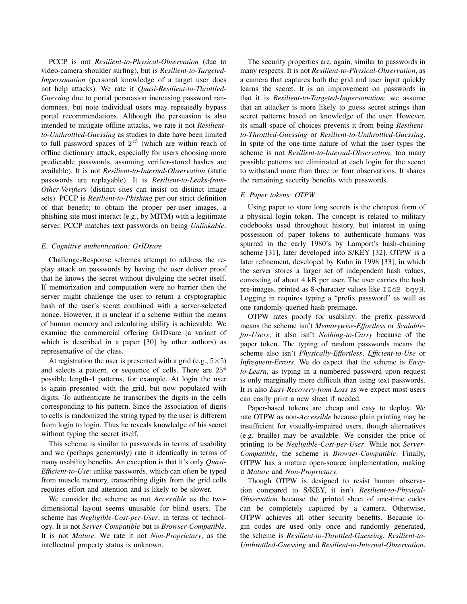PCCP is not *[Resilient-to-Physical-Observation](#page-2-10)* (due to video-camera shoulder surfing), but is *[Resilient-to-Targeted-](#page-2-11)[Impersonation](#page-2-11)* (personal knowledge of a target user does not help attacks). We rate it *[Quasi-Resilient-to-Throttled-](#page-2-12)[Guessing](#page-2-12)* due to portal persuasion increasing password randomness, but note individual users may repeatedly bypass portal recommendations. Although the persuasion is also intended to mitigate offline attacks, we rate it not *[Resilient](#page-2-13)[to-Unthrottled-Guessing](#page-2-13)* as studies to date have been limited to full password spaces of  $2^{43}$  (which are within reach of offline dictionary attack, especially for users choosing more predictable passwords, assuming verifier-stored hashes are available). It is not *[Resilient-to-Internal-Observation](#page-3-1)* (static passwords are replayable). It is *[Resilient-to-Leaks-from-](#page-3-2)[Other-Verifiers](#page-3-2)* (distinct sites can insist on distinct image sets). PCCP is *[Resilient-to-Phishing](#page-3-3)* per our strict definition of that benefit; to obtain the proper per-user images, a phishing site must interact (e.g., by MITM) with a legitimate server. PCCP matches text passwords on being *[Unlinkable](#page-3-6)*.

## <span id="page-7-0"></span>*E. Cognitive authentication: GrIDsure*

Challenge-Response schemes attempt to address the replay attack on passwords by having the user deliver proof that he knows the secret without divulging the secret itself. If memorization and computation were no barrier then the server might challenge the user to return a cryptographic hash of the user's secret combined with a server-selected nonce. However, it is unclear if a scheme within the means of human memory and calculating ability is achievable. We examine the commercial offering GrIDsure (a variant of which is described in a paper [\[30\]](#page-14-9) by other authors) as representative of the class.

At registration the user is presented with a grid (e.g.,  $5 \times 5$ ) and selects a pattern, or sequence of cells. There are  $25<sup>4</sup>$ possible length-4 patterns, for example. At login the user is again presented with the grid, but now populated with digits. To authenticate he transcribes the digits in the cells corresponding to his pattern. Since the association of digits to cells is randomized the string typed by the user is different from login to login. Thus he reveals knowledge of his secret without typing the secret itself.

This scheme is similar to passwords in terms of usability and we (perhaps generously) rate it identically in terms of many usability benefits. An exception is that it's only *[Quasi-](#page-1-5)[Efficient-to-Use](#page-1-5)*: unlike passwords, which can often be typed from muscle memory, transcribing digits from the grid cells requires effort and attention and is likely to be slower.

We consider the scheme as not *[Accessible](#page-2-3)* as the twodimensional layout seems unusable for blind users. The scheme has *[Negligible-Cost-per-User](#page-2-5)*, in terms of technology. It is not *[Server-Compatible](#page-2-6)* but is *[Browser-Compatible](#page-2-7)*. It is not *[Mature](#page-2-8)*. We rate it not *[Non-Proprietary](#page-2-9)*, as the intellectual property status is unknown.

The security properties are, again, similar to passwords in many respects. It is not *[Resilient-to-Physical-Observation](#page-2-10)*, as a camera that captures both the grid and user input quickly learns the secret. It is an improvement on passwords in that it is *[Resilient-to-Targeted-Impersonation](#page-2-11)*: we assume that an attacker is more likely to guess secret strings than secret patterns based on knowledge of the user. However, its small space of choices prevents it from being *[Resilient](#page-2-12)[to-Throttled-Guessing](#page-2-12)* or *[Resilient-to-Unthrottled-Guessing](#page-2-13)*. In spite of the one-time nature of what the user types the scheme is not *[Resilient-to-Internal-Observation](#page-3-1)*: too many possible patterns are eliminated at each login for the secret to withstand more than three or four observations. It shares the remaining security benefits with passwords.

# <span id="page-7-1"></span>*F. Paper tokens: OTPW*

Using paper to store long secrets is the cheapest form of a physical login token. The concept is related to military codebooks used throughout history, but interest in using possession of paper tokens to authenticate humans was spurred in the early 1980's by Lamport's hash-chaining scheme [\[31\]](#page-14-10), later developed into S/KEY [\[32\]](#page-14-11). OTPW is a later refinement, developed by Kuhn in 1998 [\[33\]](#page-14-12), in which the server stores a larger set of independent hash values, consisting of about 4 kB per user. The user carries the hash pre-images, printed as 8-character values like IZdB bqyH. Logging in requires typing a "prefix password" as well as one randomly-queried hash-preimage.

OTPW rates poorly for usability: the prefix password means the scheme isn't *[Memorywise-Effortless](#page-1-0)* or *[Scalable](#page-1-1)[for-Users](#page-1-1)*; it also isn't *[Nothing-to-Carry](#page-1-2)* because of the paper token. The typing of random passwords means the scheme also isn't *[Physically-Effortless](#page-1-3)*, *[Efficient-to-Use](#page-1-5)* or *[Infrequent-Errors](#page-2-0)*. We do expect that the scheme is *[Easy](#page-1-4)[to-Learn](#page-1-4)*, as typing in a numbered password upon request is only marginally more difficult than using text passwords. It is also *[Easy-Recovery-from-Loss](#page-2-2)* as we expect most users can easily print a new sheet if needed.

Paper-based tokens are cheap and easy to deploy. We rate OTPW as non-*[Accessible](#page-2-3)* because plain printing may be insufficient for visually-impaired users, though alternatives (e.g. braille) may be available. We consider the price of printing to be *[Negligible-Cost-per-User](#page-2-5)*. While not *[Server-](#page-2-6)[Compatible](#page-2-6)*, the scheme is *[Browser-Compatible](#page-2-7)*. Finally, OTPW has a mature open-source implementation, making it *[Mature](#page-2-8)* and *[Non-Proprietary](#page-2-9)*.

Though OTPW is designed to resist human observation compared to S/KEY, it isn't *[Resilient-to-Physical-](#page-2-10)[Observation](#page-2-10)* because the printed sheet of one-time codes can be completely captured by a camera. Otherwise, OTPW achieves all other security benefits. Because login codes are used only once and randomly generated, the scheme is *[Resilient-to-Throttled-Guessing](#page-2-12)*, *[Resilient-to-](#page-2-13)[Unthrottled-Guessing](#page-2-13)* and *[Resilient-to-Internal-Observation](#page-3-1)*.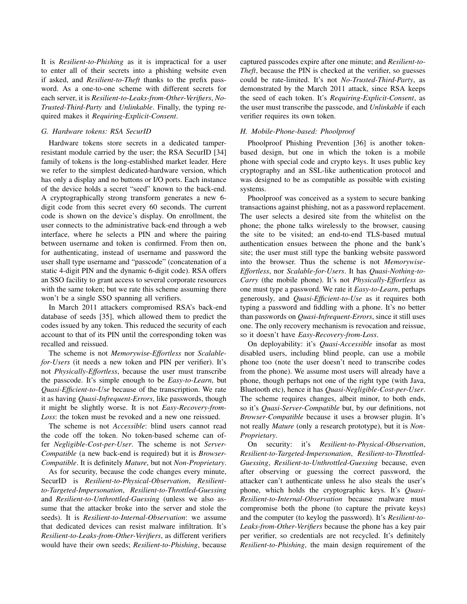It is *[Resilient-to-Phishing](#page-3-3)* as it is impractical for a user to enter all of their secrets into a phishing website even if asked, and *[Resilient-to-Theft](#page-3-0)* thanks to the prefix password. As a one-to-one scheme with different secrets for each server, it is *[Resilient-to-Leaks-from-Other-Verifiers](#page-3-2)*, *[No-](#page-3-4)[Trusted-Third-Party](#page-3-4)* and *[Unlinkable](#page-3-6)*. Finally, the typing required makes it *[Requiring-Explicit-Consent](#page-3-5)*.

#### <span id="page-8-0"></span>*G. Hardware tokens: RSA SecurID*

Hardware tokens store secrets in a dedicated tamperresistant module carried by the user; the RSA SecurID [\[34\]](#page-14-13) family of tokens is the long-established market leader. Here we refer to the simplest dedicated-hardware version, which has only a display and no buttons or I/O ports. Each instance of the device holds a secret "seed" known to the back-end. A cryptographically strong transform generates a new 6 digit code from this secret every 60 seconds. The current code is shown on the device's display. On enrollment, the user connects to the administrative back-end through a web interface, where he selects a PIN and where the pairing between username and token is confirmed. From then on, for authenticating, instead of username and password the user shall type username and "passcode" (concatenation of a static 4-digit PIN and the dynamic 6-digit code). RSA offers an SSO facility to grant access to several corporate resources with the same token; but we rate this scheme assuming there won't be a single SSO spanning all verifiers.

In March 2011 attackers compromised RSA's back-end database of seeds [\[35\]](#page-14-14), which allowed them to predict the codes issued by any token. This reduced the security of each account to that of its PIN until the corresponding token was recalled and reissued.

The scheme is not *[Memorywise-Effortless](#page-1-0)* nor *[Scalable](#page-1-1)[for-Users](#page-1-1)* (it needs a new token and PIN per verifier). It's not *[Physically-Effortless](#page-1-3)*, because the user must transcribe the passcode. It's simple enough to be *[Easy-to-Learn](#page-1-4)*, but *[Quasi-Efficient-to-Use](#page-1-5)* because of the transcription. We rate it as having *[Quasi-Infrequent-Errors](#page-2-0)*, like passwords, though it might be slightly worse. It is not *[Easy-Recovery-from-](#page-2-2)[Loss](#page-2-2)*: the token must be revoked and a new one reissued.

The scheme is not *[Accessible](#page-2-3)*: blind users cannot read the code off the token. No token-based scheme can offer *[Negligible-Cost-per-User](#page-2-5)*. The scheme is not *[Server-](#page-2-6)[Compatible](#page-2-6)* (a new back-end is required) but it is *[Browser-](#page-2-7)[Compatible](#page-2-7)*. It is definitely *[Mature](#page-2-8)*, but not *[Non-Proprietary](#page-2-9)*.

As for security, because the code changes every minute, SecurID is *[Resilient-to-Physical-Observation](#page-2-10)*, *[Resilient](#page-2-11)[to-Targeted-Impersonation](#page-2-11)*, *[Resilient-to-Throttled-Guessing](#page-2-12)* and *[Resilient-to-Unthrottled-Guessing](#page-2-13)* (unless we also assume that the attacker broke into the server and stole the seeds). It is *[Resilient-to-Internal-Observation](#page-3-1)*: we assume that dedicated devices can resist malware infiltration. It's *[Resilient-to-Leaks-from-Other-Verifiers](#page-3-2)*, as different verifiers would have their own seeds; *[Resilient-to-Phishing](#page-3-3)*, because captured passcodes expire after one minute; and *[Resilient-to-](#page-3-0)[Theft](#page-3-0)*, because the PIN is checked at the verifier, so guesses could be rate-limited. It's not *[No-Trusted-Third-Party](#page-3-4)*, as demonstrated by the March 2011 attack, since RSA keeps the seed of each token. It's *[Requiring-Explicit-Consent](#page-3-5)*, as the user must transcribe the passcode, and *[Unlinkable](#page-3-6)* if each verifier requires its own token.

## <span id="page-8-1"></span>*H. Mobile-Phone-based: Phoolproof*

Phoolproof Phishing Prevention [\[36\]](#page-14-15) is another tokenbased design, but one in which the token is a mobile phone with special code and crypto keys. It uses public key cryptography and an SSL-like authentication protocol and was designed to be as compatible as possible with existing systems.

Phoolproof was conceived as a system to secure banking transactions against phishing, not as a password replacement. The user selects a desired site from the whitelist on the phone; the phone talks wirelessly to the browser, causing the site to be visited; an end-to-end TLS-based mutual authentication ensues between the phone and the bank's site; the user must still type the banking website password into the browser. Thus the scheme is not *[Memorywise-](#page-1-0)[Effortless](#page-1-0)*, nor *[Scalable-for-Users](#page-1-1)*. It has *[Quasi-Nothing-to-](#page-1-2)[Carry](#page-1-2)* (the mobile phone). It's not *[Physically-Effortless](#page-1-3)* as one must type a password. We rate it *[Easy-to-Learn](#page-1-4)*, perhaps generously, and *[Quasi-Efficient-to-Use](#page-1-5)* as it requires both typing a password and fiddling with a phone. It's no better than passwords on *[Quasi-Infrequent-Errors](#page-2-0)*, since it still uses one. The only recovery mechanism is revocation and reissue, so it doesn't have *[Easy-Recovery-from-Loss](#page-2-2)*.

On deployability: it's *[Quasi-Accessible](#page-2-3)* insofar as most disabled users, including blind people, can use a mobile phone too (note the user doesn't need to transcribe codes from the phone). We assume most users will already have a phone, though perhaps not one of the right type (with Java, Bluetooth etc), hence it has *[Quasi-Negligible-Cost-per-User](#page-2-5)*. The scheme requires changes, albeit minor, to both ends, so it's *[Quasi-Server-Compatible](#page-2-6)* but, by our definitions, not *[Browser-Compatible](#page-2-7)* because it uses a browser plugin. It's not really *[Mature](#page-2-8)* (only a research prototype), but it is *[Non-](#page-2-9)[Proprietary](#page-2-9)*.

On security: it's *[Resilient-to-Physical-Observation](#page-2-10)*, *[Resilient-to-Targeted-Impersonation](#page-2-11)*, *[Resilient-to-Throttled-](#page-2-12)[Guessing](#page-2-12)*, *[Resilient-to-Unthrottled-Guessing](#page-2-13)* because, even after observing or guessing the correct password, the attacker can't authenticate unless he also steals the user's phone, which holds the cryptographic keys. It's *[Quasi-](#page-3-1)[Resilient-to-Internal-Observation](#page-3-1)* because malware must compromise both the phone (to capture the private keys) and the computer (to keylog the password). It's *[Resilient-to-](#page-3-2)[Leaks-from-Other-Verifiers](#page-3-2)* because the phone has a key pair per verifier, so credentials are not recycled. It's definitely *[Resilient-to-Phishing](#page-3-3)*, the main design requirement of the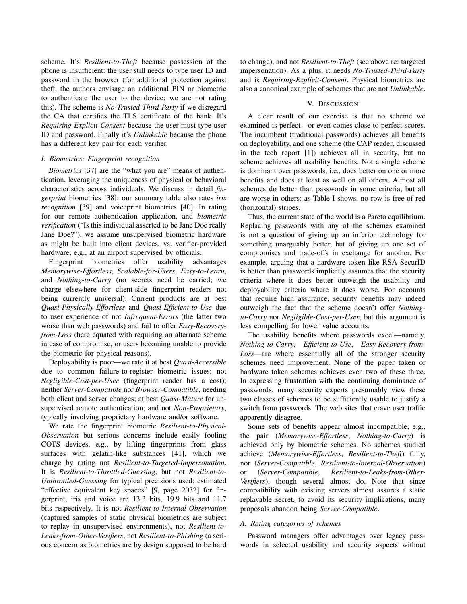scheme. It's *[Resilient-to-Theft](#page-3-0)* because possession of the phone is insufficient: the user still needs to type user ID and password in the browser (for additional protection against theft, the authors envisage an additional PIN or biometric to authenticate the user to the device; we are not rating this). The scheme is *[No-Trusted-Third-Party](#page-3-4)* if we disregard the CA that certifies the TLS certificate of the bank. It's *[Requiring-Explicit-Consent](#page-3-5)* because the user must type user ID and password. Finally it's *[Unlinkable](#page-3-6)* because the phone has a different key pair for each verifier.

#### <span id="page-9-0"></span>*I. Biometrics: Fingerprint recognition*

*Biometrics* [\[37\]](#page-14-16) are the "what you are" means of authentication, leveraging the uniqueness of physical or behavioral characteristics across individuals. We discuss in detail *fingerprint* biometrics [\[38\]](#page-14-17); our summary table also rates *iris recognition* [\[39\]](#page-14-18) and voiceprint biometrics [\[40\]](#page-14-19). In rating for our remote authentication application, and *biometric verification* ("Is this individual asserted to be Jane Doe really Jane Doe?"), we assume unsupervised biometric hardware as might be built into client devices, vs. verifier-provided hardware, e.g., at an airport supervised by officials.

Fingerprint biometrics offer usability advantages *[Memorywise-Effortless](#page-1-0)*, *[Scalable-for-Users](#page-1-1)*, *[Easy-to-Learn](#page-1-4)*, and *[Nothing-to-Carry](#page-1-2)* (no secrets need be carried; we charge elsewhere for client-side fingerprint readers not being currently universal). Current products are at best *[Quasi-Physically-Effortless](#page-1-3)* and *[Quasi-Efficient-to-Use](#page-1-5)* due to user experience of not *[Infrequent-Errors](#page-2-0)* (the latter two worse than web passwords) and fail to offer *[Easy-Recovery](#page-2-2)[from-Loss](#page-2-2)* (here equated with requiring an alternate scheme in case of compromise, or users becoming unable to provide the biometric for physical reasons).

Deployability is poor—we rate it at best *[Quasi-Accessible](#page-2-3)* due to common failure-to-register biometric issues; not *[Negligible-Cost-per-User](#page-2-5)* (fingerprint reader has a cost); neither *[Server-Compatible](#page-2-6)* nor *[Browser-Compatible](#page-2-7)*, needing both client and server changes; at best *[Quasi-Mature](#page-2-8)* for unsupervised remote authentication; and not *[Non-Proprietary](#page-2-9)*, typically involving proprietary hardware and/or software.

We rate the fingerprint biometric *[Resilient-to-Physical-](#page-2-10)[Observation](#page-2-10)* but serious concerns include easily fooling COTS devices, e.g., by lifting fingerprints from glass surfaces with gelatin-like substances [\[41\]](#page-14-20), which we charge by rating not *[Resilient-to-Targeted-Impersonation](#page-2-11)*. It is *[Resilient-to-Throttled-Guessing](#page-2-12)*, but not *[Resilient-to-](#page-2-13)[Unthrottled-Guessing](#page-2-13)* for typical precisions used; estimated "effective equivalent key spaces" [\[9,](#page-13-8) page 2032] for fingerprint, iris and voice are 13.3 bits, 19.9 bits and 11.7 bits respectively. It is not *[Resilient-to-Internal-Observation](#page-3-1)* (captured samples of static physical biometrics are subject to replay in unsupervised environments), not *[Resilient-to-](#page-3-2)[Leaks-from-Other-Verifiers](#page-3-2)*, not *[Resilient-to-Phishing](#page-3-3)* (a serious concern as biometrics are by design supposed to be hard to change), and not *[Resilient-to-Theft](#page-3-0)* (see above re: targeted impersonation). As a plus, it needs *[No-Trusted-Third-Party](#page-3-4)* and is *[Requiring-Explicit-Consent](#page-3-5)*. Physical biometrics are also a canonical example of schemes that are not *[Unlinkable](#page-3-6)*.

## V. DISCUSSION

A clear result of our exercise is that no scheme we examined is perfect—or even comes close to perfect scores. The incumbent (traditional passwords) achieves all benefits on deployability, and one scheme (the CAP reader, discussed in the tech report [\[1\]](#page-13-3)) achieves all in security, but no scheme achieves all usability benefits. Not a single scheme is dominant over passwords, i.e., does better on one or more benefits and does at least as well on all others. Almost all schemes do better than passwords in some criteria, but all are worse in others: as Table [I](#page-10-0) shows, no row is free of red (horizontal) stripes.

Thus, the current state of the world is a Pareto equilibrium. Replacing passwords with any of the schemes examined is not a question of giving up an inferior technology for something unarguably better, but of giving up one set of compromises and trade-offs in exchange for another. For example, arguing that a hardware token like RSA SecurID is better than passwords implicitly assumes that the security criteria where it does better outweigh the usability and deployability criteria where it does worse. For accounts that require high assurance, security benefits may indeed outweigh the fact that the scheme doesn't offer *[Nothing](#page-1-2)[to-Carry](#page-1-2)* nor *[Negligible-Cost-per-User](#page-2-5)*, but this argument is less compelling for lower value accounts.

The usability benefits where passwords excel—namely, *[Nothing-to-Carry](#page-1-2)*, *[Efficient-to-Use](#page-1-5)*, *[Easy-Recovery-from-](#page-2-2)[Loss](#page-2-2)*—are where essentially all of the stronger security schemes need improvement. None of the paper token or hardware token schemes achieves even two of these three. In expressing frustration with the continuing dominance of passwords, many security experts presumably view these two classes of schemes to be sufficiently usable to justify a switch from passwords. The web sites that crave user traffic apparently disagree.

Some sets of benefits appear almost incompatible, e.g., the pair (*[Memorywise-Effortless](#page-1-0)*, *[Nothing-to-Carry](#page-1-2)*) is achieved only by biometric schemes. No schemes studied achieve (*[Memorywise-Effortless](#page-1-0)*, *[Resilient-to-Theft](#page-3-0)*) fully, nor (*[Server-Compatible](#page-2-6)*, *[Resilient-to-Internal-Observation](#page-3-1)*) or (*[Server-Compatible](#page-2-6)*, *[Resilient-to-Leaks-from-Other-](#page-3-2)[Verifiers](#page-3-2)*), though several almost do. Note that since compatibility with existing servers almost assures a static replayable secret, to avoid its security implications, many proposals abandon being *[Server-Compatible](#page-2-6)*.

# *A. Rating categories of schemes*

Password managers offer advantages over legacy passwords in selected usability and security aspects without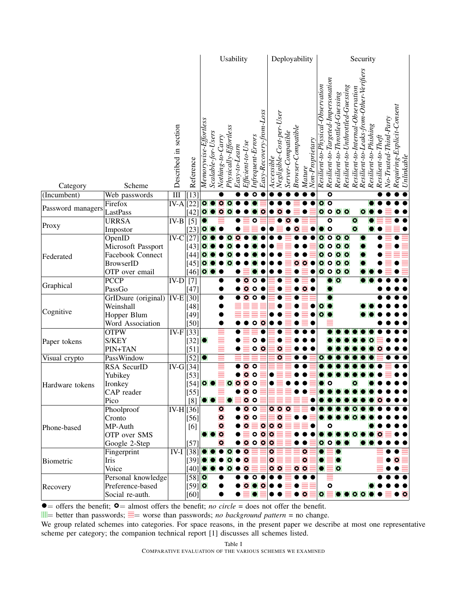|                   |                          |                               |                     | Usability                                   |                  |                                        |                    |                                                                                         |                         | Deployability                          |                   |                      |                                           |                                   | Security                            |                                                                      |           |                                                                              |                       |                    |                        |                                          |
|-------------------|--------------------------|-------------------------------|---------------------|---------------------------------------------|------------------|----------------------------------------|--------------------|-----------------------------------------------------------------------------------------|-------------------------|----------------------------------------|-------------------|----------------------|-------------------------------------------|-----------------------------------|-------------------------------------|----------------------------------------------------------------------|-----------|------------------------------------------------------------------------------|-----------------------|--------------------|------------------------|------------------------------------------|
| Category          | Scheme                   | Described in section          | Reference           | Memorywise-Effortless<br>Scalable-for-Users | Nothing-to-Carry | Physically-Effortless<br>Easy-to-Learn | $Efficient-to-Use$ | Infrequent-Errors                                                                       | Easy-Recovery-from-Loss | Negligible-Cost-per-User<br>Accessible | Server-Compatible | Browser-Compatible   | Non-Proprietary<br>$\label{eq:1} Maurice$ | Resilient-to-Physical-Observation | Resilient-to-Targeted-Impersonation | Resilient-to-Unthrottled-Guessing<br>Resilient-to-Throttled-Guessing |           | Resilient-to-Internal-Observation<br>Resilient-to-Leaks-from-Other-Verifiers | Resilient-to-Phishing | Resilient-to-Theft | No-Trusted-Third-Party | Requiring-Explicit-Consent<br>Unlinkable |
| (Incumbent)       | Web passwords            | $\overline{\rm III}$          | $[13]$              |                                             |                  |                                        |                    |                                                                                         |                         |                                        |                   |                      |                                           |                                   | $\overline{\mathbf{o}}$             |                                                                      |           |                                                                              |                       |                    |                        |                                          |
| Password managers | Firefox                  | $IV-A$                        | $\sqrt{22}$         |                                             |                  |                                        |                    |                                                                                         |                         |                                        |                   |                      |                                           | $\overline{\mathbf{o}}$           | $\overline{\bullet}$                |                                                                      |           |                                                                              |                       |                    |                        |                                          |
|                   | <b>LastPass</b>          |                               | $[42]$              | $\bullet$                                   | o<br>Ю           |                                        |                    |                                                                                         |                         |                                        |                   |                      |                                           |                                   |                                     | 0000                                                                 |           |                                                                              |                       |                    |                        |                                          |
| Proxy             | <b>URRSA</b>             | $IV-B$                        | $\overline{5}$      |                                             |                  |                                        |                    |                                                                                         |                         |                                        |                   |                      |                                           |                                   | $\overline{\bullet}$                |                                                                      | Ø         |                                                                              |                       |                    |                        |                                          |
|                   | Impostor                 |                               | [23]                |                                             |                  |                                        |                    |                                                                                         |                         |                                        |                   |                      |                                           |                                   | $\circ$                             |                                                                      | $\bullet$ |                                                                              |                       |                    |                        |                                          |
| Federated         | OpenID                   | $IV-C$                        | $\sqrt{27}$         |                                             |                  |                                        |                    |                                                                                         |                         |                                        |                   |                      |                                           | o                                 | $\circ$                             | $\circ$                                                              |           |                                                                              |                       |                    |                        |                                          |
|                   | Microsoft Passport       |                               | [43]                |                                             |                  |                                        |                    |                                                                                         |                         |                                        |                   |                      |                                           | o                                 | $\circ$                             | 0                                                                    |           |                                                                              |                       |                    |                        |                                          |
|                   | Facebook Connect         |                               | [44]                |                                             |                  |                                        |                    |                                                                                         |                         |                                        |                   |                      |                                           |                                   |                                     | 0 0 0 0                                                              |           |                                                                              |                       |                    |                        |                                          |
|                   | <b>BrowserID</b>         |                               | $[45]$              |                                             |                  |                                        |                    |                                                                                         |                         |                                        |                   |                      |                                           | $\bullet$                         | $\circ$                             | $\circ$                                                              |           |                                                                              |                       |                    |                        |                                          |
|                   | OTP over email           |                               | $[46]$              | <b>O</b>                                    |                  |                                        |                    |                                                                                         |                         |                                        |                   |                      |                                           | O                                 |                                     | 000                                                                  |           |                                                                              |                       |                    |                        |                                          |
| Graphical         | <b>PCCP</b>              | $\overline{\text{IV-D}}$      | $\boxed{7}$         |                                             |                  |                                        | ٥                  | Ο                                                                                       |                         |                                        |                   |                      |                                           |                                   | $\bullet$ $\circ$                   |                                                                      |           |                                                                              |                       |                    |                        |                                          |
|                   | PassGo                   |                               | $[47]$              |                                             |                  |                                        | Ο                  | Ο                                                                                       |                         |                                        |                   |                      |                                           |                                   |                                     |                                                                      |           |                                                                              |                       |                    |                        |                                          |
| Cognitive         | GrIDsure (original)      | <b>IV-E</b>                   | $\vert$ [30]        |                                             |                  |                                        |                    |                                                                                         |                         |                                        |                   |                      |                                           | о                                 |                                     |                                                                      |           |                                                                              |                       |                    |                        |                                          |
|                   | Weinshall<br>Hopper Blum |                               | $[48]$              |                                             |                  |                                        |                    |                                                                                         |                         |                                        |                   |                      |                                           | ۰                                 |                                     |                                                                      |           |                                                                              |                       |                    |                        |                                          |
|                   | Word Association         |                               | $[49]$<br>$[50]$    |                                             |                  |                                        |                    | О                                                                                       |                         |                                        |                   |                      |                                           |                                   |                                     |                                                                      |           |                                                                              |                       |                    |                        |                                          |
|                   | <b>OTPW</b>              | $IV-F$ [33]                   |                     |                                             |                  |                                        |                    |                                                                                         |                         |                                        |                   |                      |                                           |                                   |                                     |                                                                      |           |                                                                              |                       |                    |                        |                                          |
| Paper tokens      | S/KEY                    |                               | [32]                |                                             |                  |                                        |                    | O                                                                                       |                         |                                        |                   |                      |                                           |                                   |                                     |                                                                      |           |                                                                              |                       |                    |                        |                                          |
|                   | PIN+TAN                  |                               | $[51]$              |                                             |                  |                                        |                    | $\circ$ $\circ$                                                                         |                         | ٥                                      |                   |                      |                                           |                                   |                                     |                                                                      |           |                                                                              |                       |                    |                        |                                          |
| Visual crypto     | PassWindow               |                               | $[52]$ $\bullet$    |                                             |                  |                                        |                    |                                                                                         |                         | ۰                                      |                   |                      |                                           |                                   |                                     |                                                                      |           |                                                                              |                       |                    |                        |                                          |
|                   | <b>RSA SecurID</b>       | $IV-G$                        | $\overline{[34]}$   |                                             |                  |                                        | o                  | $\circ$                                                                                 |                         |                                        |                   |                      |                                           |                                   |                                     |                                                                      |           |                                                                              |                       |                    |                        |                                          |
| Hardware tokens   | Yubikey                  |                               | $[53]$              |                                             |                  |                                        |                    | O                                                                                       |                         |                                        |                   |                      |                                           |                                   |                                     |                                                                      |           |                                                                              |                       |                    |                        |                                          |
|                   | Ironkey                  |                               | $[54]$              | <b>OK</b>                                   |                  | о<br>о                                 | ۰                  | $\circ$                                                                                 |                         |                                        |                   |                      |                                           |                                   |                                     |                                                                      |           |                                                                              |                       |                    |                        |                                          |
|                   | CAP reader               |                               | $[55]$              |                                             |                  |                                        |                    | $\overline{\mathbf{o}}$ o                                                               |                         |                                        |                   |                      |                                           |                                   |                                     |                                                                      |           |                                                                              |                       |                    |                        |                                          |
|                   | Pico                     |                               | [8]                 | IO IO                                       |                  |                                        |                    | $\circ$ $\circ$                                                                         |                         |                                        |                   |                      |                                           |                                   |                                     |                                                                      |           |                                                                              |                       |                    |                        |                                          |
| Phone-based       | Phoolproof               | $\overline{\text{IV-H}}$ [36] |                     |                                             | $\bullet$        |                                        |                    | $\overline{\bullet}$ o                                                                  |                         | 000                                    |                   |                      |                                           |                                   |                                     |                                                                      |           |                                                                              |                       |                    |                        |                                          |
|                   | Cronto                   |                               | $[56]$              |                                             | $\bullet$        |                                        |                    | $\overline{o}$ o                                                                        |                         | ۰                                      |                   |                      |                                           |                                   |                                     |                                                                      |           |                                                                              |                       |                    |                        |                                          |
|                   | MP-Auth                  |                               | [6]                 |                                             | ۰                |                                        |                    | $\overline{\mathbf{o}} \equiv \overline{\mathbf{o}} \mid \overline{\mathbf{o}} \in \Xi$ |                         |                                        |                   |                      |                                           |                                   | ο                                   |                                                                      |           |                                                                              |                       |                    |                        |                                          |
|                   | OTP over SMS             |                               |                     |                                             | c                |                                        |                    | $\circ$ $\overline{\circ}$ $\overline{\circ}$                                           |                         |                                        |                   |                      |                                           |                                   |                                     |                                                                      |           |                                                                              |                       |                    |                        |                                          |
|                   | Google 2-Step            |                               | $[57]$              |                                             | $\bullet$        |                                        |                    | $\overline{o}$ o $\overline{o}$ o                                                       |                         |                                        |                   |                      |                                           | о                                 | Ω                                   |                                                                      |           |                                                                              |                       |                    |                        |                                          |
| Biometric         | Fingerprint              | $IV-I$                        | $\overline{138}$    |                                             |                  | o                                      | $\bullet$          |                                                                                         |                         | $\bullet$                              |                   |                      | ۰                                         |                                   |                                     |                                                                      |           |                                                                              |                       |                    |                        |                                          |
|                   | Iris                     |                               | [39]                |                                             |                  |                                        | $\bullet$          |                                                                                         |                         | $\bullet$                              |                   |                      | $\bullet$                                 |                                   |                                     |                                                                      |           |                                                                              |                       |                    |                        | ۰                                        |
|                   | Voice                    |                               | [40]                |                                             |                  | о                                      | $\bullet$          |                                                                                         |                         | $\bullet$                              |                   | $\overline{\bullet}$ |                                           |                                   |                                     | $\bullet$                                                            |           |                                                                              |                       |                    |                        |                                          |
| Recovery          | Personal knowledge       |                               | $[58]$ <sup>O</sup> |                                             |                  |                                        |                    | ٥                                                                                       |                         |                                        |                   |                      |                                           |                                   |                                     |                                                                      |           |                                                                              |                       |                    |                        |                                          |
|                   | Preference-based         |                               | $[59]$ <b>o</b>     |                                             |                  |                                        |                    |                                                                                         | Ю                       |                                        |                   |                      |                                           |                                   | $\circ$                             |                                                                      |           |                                                                              |                       |                    |                        |                                          |
|                   | Social re-auth.          |                               | [60]                |                                             |                  |                                        |                    |                                                                                         |                         |                                        |                   |                      | $\overline{\mathbf{C}}$ $\equiv$          | $ 0  \equiv$                      |                                     |                                                                      |           | <b>PO</b>                                                                    |                       |                    |                        |                                          |

 $\bullet$  = offers the benefit;  $\bullet$  = almost offers the benefit; *no circle* = does not offer the benefit.

 $\| \cdot \|$  better than passwords;  $\equiv$  worse than passwords; *no background pattern* = no change.

<span id="page-10-0"></span>We group related schemes into categories. For space reasons, in the present paper we describe at most one representative scheme per category; the companion technical report [\[1\]](#page-13-3) discusses all schemes listed.

> Table I COMPARATIVE EVALUATION OF THE VARIOUS SCHEMES WE EXAMINED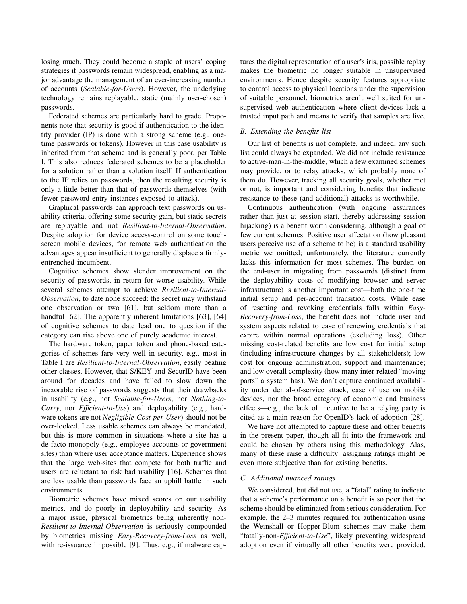losing much. They could become a staple of users' coping strategies if passwords remain widespread, enabling as a major advantage the management of an ever-increasing number of accounts (*[Scalable-for-Users](#page-1-1)*). However, the underlying technology remains replayable, static (mainly user-chosen) passwords.

Federated schemes are particularly hard to grade. Proponents note that security is good if authentication to the identity provider (IP) is done with a strong scheme (e.g., onetime passwords or tokens). However in this case usability is inherited from that scheme and is generally poor, per Table [I.](#page-10-0) This also reduces federated schemes to be a placeholder for a solution rather than a solution itself. If authentication to the IP relies on passwords, then the resulting security is only a little better than that of passwords themselves (with fewer password entry instances exposed to attack).

Graphical passwords can approach text passwords on usability criteria, offering some security gain, but static secrets are replayable and not *[Resilient-to-Internal-Observation](#page-3-1)*. Despite adoption for device access-control on some touchscreen mobile devices, for remote web authentication the advantages appear insufficient to generally displace a firmlyentrenched incumbent.

Cognitive schemes show slender improvement on the security of passwords, in return for worse usability. While several schemes attempt to achieve *[Resilient-to-Internal-](#page-3-1)[Observation](#page-3-1)*, to date none succeed: the secret may withstand one observation or two [\[61\]](#page-14-40), but seldom more than a handful [\[62\]](#page-14-41). The apparently inherent limitations [\[63\]](#page-14-42), [\[64\]](#page-14-43) of cognitive schemes to date lead one to question if the category can rise above one of purely academic interest.

The hardware token, paper token and phone-based categories of schemes fare very well in security, e.g., most in Table [I](#page-10-0) are *[Resilient-to-Internal-Observation](#page-3-1)*, easily beating other classes. However, that S/KEY and SecurID have been around for decades and have failed to slow down the inexorable rise of passwords suggests that their drawbacks in usability (e.g., not *[Scalable-for-Users](#page-1-1)*, nor *[Nothing-to-](#page-1-2)[Carry](#page-1-2)*, nor *[Efficient-to-Use](#page-1-5)*) and deployability (e.g., hardware tokens are not *[Negligible-Cost-per-User](#page-2-5)*) should not be over-looked. Less usable schemes can always be mandated, but this is more common in situations where a site has a de facto monopoly (e.g., employee accounts or government sites) than where user acceptance matters. Experience shows that the large web-sites that compete for both traffic and users are reluctant to risk bad usability [\[16\]](#page-13-14). Schemes that are less usable than passwords face an uphill battle in such environments.

Biometric schemes have mixed scores on our usability metrics, and do poorly in deployability and security. As a major issue, physical biometrics being inherently non-*[Resilient-to-Internal-Observation](#page-3-1)* is seriously compounded by biometrics missing *[Easy-Recovery-from-Loss](#page-2-2)* as well, with re-issuance impossible [\[9\]](#page-13-8). Thus, e.g., if malware captures the digital representation of a user's iris, possible replay makes the biometric no longer suitable in unsupervised environments. Hence despite security features appropriate to control access to physical locations under the supervision of suitable personnel, biometrics aren't well suited for unsupervised web authentication where client devices lack a trusted input path and means to verify that samples are live.

#### *B. Extending the benefits list*

Our list of benefits is not complete, and indeed, any such list could always be expanded. We did not include resistance to active-man-in-the-middle, which a few examined schemes may provide, or to relay attacks, which probably none of them do. However, tracking all security goals, whether met or not, is important and considering benefits that indicate resistance to these (and additional) attacks is worthwhile.

Continuous authentication (with ongoing assurances rather than just at session start, thereby addressing session hijacking) is a benefit worth considering, although a goal of few current schemes. Positive user affectation (how pleasant users perceive use of a scheme to be) is a standard usability metric we omitted; unfortunately, the literature currently lacks this information for most schemes. The burden on the end-user in migrating from passwords (distinct from the deployability costs of modifying browser and server infrastructure) is another important cost—both the one-time initial setup and per-account transition costs. While ease of resetting and revoking credentials falls within *[Easy-](#page-2-2)[Recovery-from-Loss](#page-2-2)*, the benefit does not include user and system aspects related to ease of renewing credentials that expire within normal operations (excluding loss). Other missing cost-related benefits are low cost for initial setup (including infrastructure changes by all stakeholders); low cost for ongoing administration, support and maintenance; and low overall complexity (how many inter-related "moving parts" a system has). We don't capture continued availability under denial-of-service attack, ease of use on mobile devices, nor the broad category of economic and business effects—e.g., the lack of incentive to be a relying party is cited as a main reason for OpenID's lack of adoption [\[28\]](#page-14-7).

We have not attempted to capture these and other benefits in the present paper, though all fit into the framework and could be chosen by others using this methodology. Alas, many of these raise a difficulty: assigning ratings might be even more subjective than for existing benefits.

# *C. Additional nuanced ratings*

We considered, but did not use, a "fatal" rating to indicate that a scheme's performance on a benefit is so poor that the scheme should be eliminated from serious consideration. For example, the 2–3 minutes required for authentication using the Weinshall or Hopper-Blum schemes may make them "fatally-non-*[Efficient-to-Use](#page-1-5)*", likely preventing widespread adoption even if virtually all other benefits were provided.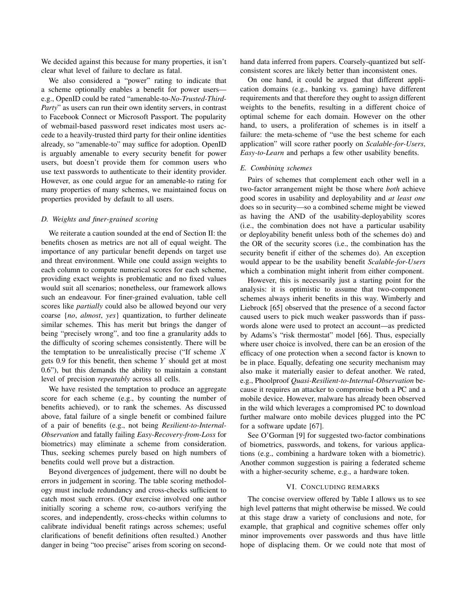We decided against this because for many properties, it isn't clear what level of failure to declare as fatal.

We also considered a "power" rating to indicate that a scheme optionally enables a benefit for power users e.g., OpenID could be rated "amenable-to-*[No-Trusted-Third-](#page-3-4)[Party](#page-3-4)*" as users can run their own identity servers, in contrast to Facebook Connect or Microsoft Passport. The popularity of webmail-based password reset indicates most users accede to a heavily-trusted third party for their online identities already, so "amenable-to" may suffice for adoption. OpenID is arguably amenable to every security benefit for power users, but doesn't provide them for common users who use text passwords to authenticate to their identity provider. However, as one could argue for an amenable-to rating for many properties of many schemes, we maintained focus on properties provided by default to all users.

#### <span id="page-12-0"></span>*D. Weights and finer-grained scoring*

We reiterate a caution sounded at the end of Section [II:](#page-1-6) the benefits chosen as metrics are not all of equal weight. The importance of any particular benefit depends on target use and threat environment. While one could assign weights to each column to compute numerical scores for each scheme, providing exact weights is problematic and no fixed values would suit all scenarios; nonetheless, our framework allows such an endeavour. For finer-grained evaluation, table cell scores like *partially* could also be allowed beyond our very coarse {*no*, *almost*, *yes*} quantization, to further delineate similar schemes. This has merit but brings the danger of being "precisely wrong", and too fine a granularity adds to the difficulty of scoring schemes consistently. There will be the temptation to be unrealistically precise ("If scheme  $X$ gets 0.9 for this benefit, then scheme Y should get at most 0.6"), but this demands the ability to maintain a constant level of precision *repeatably* across all cells.

We have resisted the temptation to produce an aggregate score for each scheme (e.g., by counting the number of benefits achieved), or to rank the schemes. As discussed above, fatal failure of a single benefit or combined failure of a pair of benefits (e.g., not being *[Resilient-to-Internal-](#page-3-1)[Observation](#page-3-1)* and fatally failing *[Easy-Recovery-from-Loss](#page-2-2)* for biometrics) may eliminate a scheme from consideration. Thus, seeking schemes purely based on high numbers of benefits could well prove but a distraction.

Beyond divergences of judgement, there will no doubt be errors in judgement in scoring. The table scoring methodology must include redundancy and cross-checks sufficient to catch most such errors. (Our exercise involved one author initially scoring a scheme row, co-authors verifying the scores, and independently, cross-checks within columns to calibrate individual benefit ratings across schemes; useful clarifications of benefit definitions often resulted.) Another danger in being "too precise" arises from scoring on secondhand data inferred from papers. Coarsely-quantized but selfconsistent scores are likely better than inconsistent ones.

On one hand, it could be argued that different application domains (e.g., banking vs. gaming) have different requirements and that therefore they ought to assign different weights to the benefits, resulting in a different choice of optimal scheme for each domain. However on the other hand, to users, a proliferation of schemes is in itself a failure: the meta-scheme of "use the best scheme for each application" will score rather poorly on *[Scalable-for-Users](#page-1-1)*, *[Easy-to-Learn](#page-1-4)* and perhaps a few other usability benefits.

## *E. Combining schemes*

Pairs of schemes that complement each other well in a two-factor arrangement might be those where *both* achieve good scores in usability and deployability and *at least one* does so in security—so a combined scheme might be viewed as having the AND of the usability-deployability scores (i.e., the combination does not have a particular usability or deployability benefit unless both of the schemes do) and the OR of the security scores (i.e., the combination has the security benefit if either of the schemes do). An exception would appear to be the usability benefit *[Scalable-for-Users](#page-1-1)* which a combination might inherit from either component.

However, this is necessarily just a starting point for the analysis: it is optimistic to assume that two-component schemes always inherit benefits in this way. Wimberly and Liebrock [\[65\]](#page-14-44) observed that the presence of a second factor caused users to pick much weaker passwords than if passwords alone were used to protect an account—as predicted by Adams's "risk thermostat" model [\[66\]](#page-14-45). Thus, especially where user choice is involved, there can be an erosion of the efficacy of one protection when a second factor is known to be in place. Equally, defeating one security mechanism may also make it materially easier to defeat another. We rated, e.g., Phoolproof *[Quasi-Resilient-to-Internal-Observation](#page-3-1)* because it requires an attacker to compromise both a PC and a mobile device. However, malware has already been observed in the wild which leverages a compromised PC to download further malware onto mobile devices plugged into the PC for a software update [\[67\]](#page-14-46).

See O'Gorman [\[9\]](#page-13-8) for suggested two-factor combinations of biometrics, passwords, and tokens, for various applications (e.g., combining a hardware token with a biometric). Another common suggestion is pairing a federated scheme with a higher-security scheme, e.g., a hardware token.

# VI. CONCLUDING REMARKS

The concise overview offered by Table [I](#page-10-0) allows us to see high level patterns that might otherwise be missed. We could at this stage draw a variety of conclusions and note, for example, that graphical and cognitive schemes offer only minor improvements over passwords and thus have little hope of displacing them. Or we could note that most of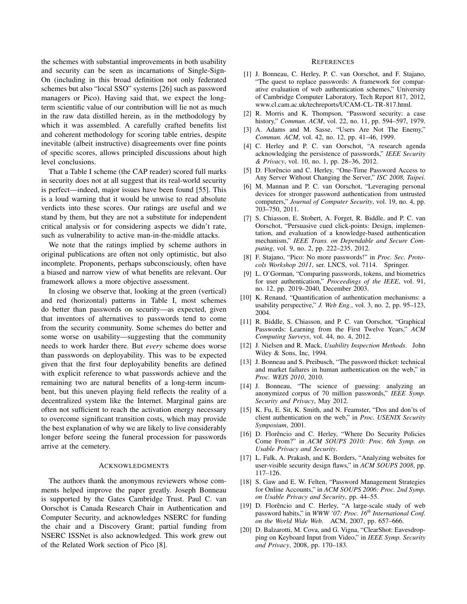the schemes with substantial improvements in both usability and security can be seen as incarnations of Single-Sign-On (including in this broad definition not only federated schemes but also "local SSO" systems [\[26\]](#page-14-5) such as password managers or Pico). Having said that, we expect the longterm scientific value of our contribution will lie not as much in the raw data distilled herein, as in the methodology by which it was assembled. A carefully crafted benefits list and coherent methodology for scoring table entries, despite inevitable (albeit instructive) disagreements over fine points of specific scores, allows principled discussions about high level conclusions.

That a Table [I](#page-10-0) scheme (the CAP reader) scored full marks in security does not at all suggest that its real-world security is perfect—indeed, major issues have been found [\[55\]](#page-14-34). This is a loud warning that it would be unwise to read absolute verdicts into these scores. Our ratings are useful and we stand by them, but they are not a substitute for independent critical analysis or for considering aspects we didn't rate, such as vulnerability to active man-in-the-middle attacks.

We note that the ratings implied by scheme authors in original publications are often not only optimistic, but also incomplete. Proponents, perhaps subconsciously, often have a biased and narrow view of what benefits are relevant. Our framework allows a more objective assessment.

In closing we observe that, looking at the green (vertical) and red (horizontal) patterns in Table [I,](#page-10-0) most schemes do better than passwords on security—as expected, given that inventors of alternatives to passwords tend to come from the security community. Some schemes do better and some worse on usability—suggesting that the community needs to work harder there. But *every* scheme does worse than passwords on deployability. This was to be expected given that the first four deployability benefits are defined with explicit reference to what passwords achieve and the remaining two are natural benefits of a long-term incumbent, but this uneven playing field reflects the reality of a decentralized system like the Internet. Marginal gains are often not sufficient to reach the activation energy necessary to overcome significant transition costs, which may provide the best explanation of why we are likely to live considerably longer before seeing the funeral procession for passwords arrive at the cemetery.

#### ACKNOWLEDGMENTS

The authors thank the anonymous reviewers whose comments helped improve the paper greatly. Joseph Bonneau is supported by the Gates Cambridge Trust. Paul C. van Oorschot is Canada Research Chair in Authentication and Computer Security, and acknowledges NSERC for funding the chair and a Discovery Grant; partial funding from NSERC ISSNet is also acknowledged. This work grew out of the Related Work section of Pico [\[8\]](#page-13-7).

#### **REFERENCES**

- <span id="page-13-3"></span>[1] J. Bonneau, C. Herley, P. C. van Oorschot, and F. Stajano, "The quest to replace passwords: A framework for comparative evaluation of web authentication schemes," University of Cambridge Computer Laboratory, Tech Report 817, 2012, [www.cl.cam.ac.uk/techreports/UCAM-CL-TR-817.html.](www.cl.cam.ac.uk/techreports/UCAM-CL-TR-817.html)
- <span id="page-13-0"></span>[2] R. Morris and K. Thompson, "Password security: a case history," *Commun. ACM*, vol. 22, no. 11, pp. 594–597, 1979.
- <span id="page-13-1"></span>[3] A. Adams and M. Sasse, "Users Are Not The Enemy," *Commun. ACM*, vol. 42, no. 12, pp. 41–46, 1999.
- <span id="page-13-2"></span>[4] C. Herley and P. C. van Oorschot, "A research agenda acknowledging the persistence of passwords," *IEEE Security & Privacy*, vol. 10, no. 1, pp. 28–36, 2012.
- <span id="page-13-4"></span>[5] D. Florêncio and C. Herley, "One-Time Password Access to Any Server Without Changing the Server," *ISC 2008, Taipei.*
- <span id="page-13-5"></span>[6] M. Mannan and P. C. van Oorschot, "Leveraging personal devices for stronger password authentication from untrusted computers," *Journal of Computer Security*, vol. 19, no. 4, pp. 703–750, 2011.
- <span id="page-13-6"></span>[7] S. Chiasson, E. Stobert, A. Forget, R. Biddle, and P. C. van Oorschot, "Persuasive cued click-points: Design, implementation, and evaluation of a knowledge-based authentication mechanism," *IEEE Trans. on Dependable and Secure Computing*, vol. 9, no. 2, pp. 222–235, 2012.
- <span id="page-13-7"></span>[8] F. Stajano, "Pico: No more passwords!" in *Proc. Sec. Protocols Workshop 2011*, ser. LNCS, vol. 7114. Springer.
- <span id="page-13-8"></span>[9] L. O'Gorman, "Comparing passwords, tokens, and biometrics for user authentication," *Proceedings of the IEEE*, vol. 91, no. 12, pp. 2019–2040, December 2003.
- [10] K. Renaud, "Quantification of authentication mechanisms: a usability perspective," *J. Web Eng.*, vol. 3, no. 2, pp. 95–123, 2004.
- <span id="page-13-9"></span>[11] R. Biddle, S. Chiasson, and P. C. van Oorschot, "Graphical Passwords: Learning from the First Twelve Years," *ACM Computing Surveys*, vol. 44, no. 4, 2012.
- <span id="page-13-10"></span>[12] J. Nielsen and R. Mack, *Usability Inspection Methods*. John Wiley & Sons, Inc, 1994.
- <span id="page-13-11"></span>[13] J. Bonneau and S. Preibusch, "The password thicket: technical and market failures in human authentication on the web," in *Proc. WEIS 2010*, 2010.
- <span id="page-13-12"></span>[14] J. Bonneau, "The science of guessing: analyzing an anonymized corpus of 70 million passwords," *IEEE Symp. Security and Privacy*, May 2012.
- <span id="page-13-13"></span>[15] K. Fu, E. Sit, K. Smith, and N. Feamster, "Dos and don'ts of client authentication on the web," in *Proc. USENIX Security Symposium*, 2001.
- <span id="page-13-14"></span>[16] D. Florêncio and C. Herley, "Where Do Security Policies Come From?" in *ACM SOUPS 2010: Proc. 6th Symp. on Usable Privacy and Security*.
- <span id="page-13-15"></span>[17] L. Falk, A. Prakash, and K. Borders, "Analyzing websites for user-visible security design flaws," in *ACM SOUPS 2008*, pp. 117–126.
- <span id="page-13-16"></span>[18] S. Gaw and E. W. Felten, "Password Management Strategies for Online Accounts," in *ACM SOUPS 2006: Proc. 2nd Symp. on Usable Privacy and Security*, pp. 44–55.
- <span id="page-13-17"></span>[19] D. Florêncio and C. Herley, "A large-scale study of web password habits," in *WWW '07: Proc. 16th International Conf. on the World Wide Web*. ACM, 2007, pp. 657–666.
- <span id="page-13-18"></span>[20] D. Balzarotti, M. Cova, and G. Vigna, "ClearShot: Eavesdropping on Keyboard Input from Video," in *IEEE Symp. Security and Privacy*, 2008, pp. 170–183.